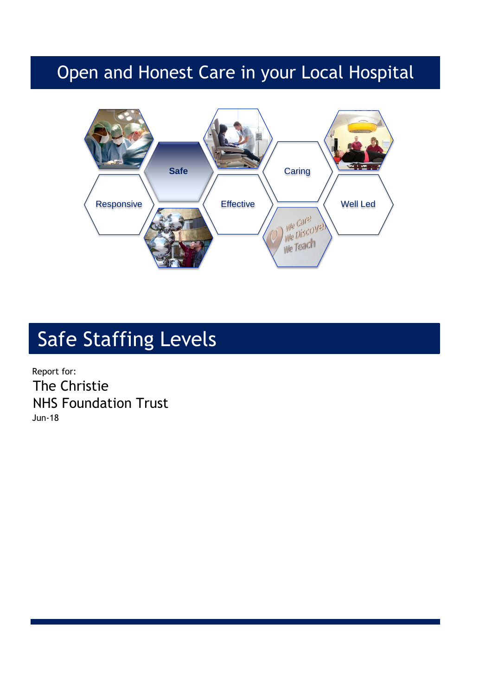## Open and Honest Care in your Local Hospital



# Safe Staffing Levels

Report for: The Christie NHS Foundation Trust Jun-18